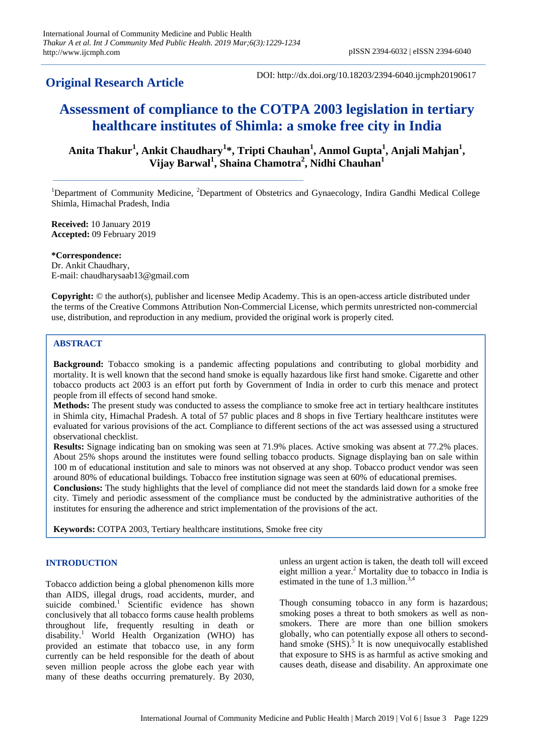# **Original Research Article**

DOI: http://dx.doi.org/10.18203/2394-6040.ijcmph20190617

# **Assessment of compliance to the COTPA 2003 legislation in tertiary healthcare institutes of Shimla: a smoke free city in India**

Anita Thakur<sup>1</sup>, Ankit Chaudhary<sup>1</sup>\*, Tripti Chauhan<sup>1</sup>, Anmol Gupta<sup>1</sup>, Anjali Mahjan<sup>1</sup>, **Vijay Barwal<sup>1</sup> , Shaina Chamotra<sup>2</sup> , Nidhi Chauhan<sup>1</sup>**

<sup>1</sup>Department of Community Medicine, <sup>2</sup>Department of Obstetrics and Gynaecology, Indira Gandhi Medical College Shimla, Himachal Pradesh, India

**Received:** 10 January 2019 **Accepted:** 09 February 2019

**\*Correspondence:** Dr. Ankit Chaudhary, E-mail: chaudharysaab13@gmail.com

**Copyright:** © the author(s), publisher and licensee Medip Academy. This is an open-access article distributed under the terms of the Creative Commons Attribution Non-Commercial License, which permits unrestricted non-commercial use, distribution, and reproduction in any medium, provided the original work is properly cited.

# **ABSTRACT**

**Background:** Tobacco smoking is a pandemic affecting populations and contributing to global morbidity and mortality. It is well known that the second hand smoke is equally hazardous like first hand smoke. Cigarette and other tobacco products act 2003 is an effort put forth by Government of India in order to curb this menace and protect people from ill effects of second hand smoke.

**Methods:** The present study was conducted to assess the compliance to smoke free act in tertiary healthcare institutes in Shimla city, Himachal Pradesh. A total of 57 public places and 8 shops in five Tertiary healthcare institutes were evaluated for various provisions of the act. Compliance to different sections of the act was assessed using a structured observational checklist.

**Results:** Signage indicating ban on smoking was seen at 71.9% places. Active smoking was absent at 77.2% places. About 25% shops around the institutes were found selling tobacco products. Signage displaying ban on sale within 100 m of educational institution and sale to minors was not observed at any shop. Tobacco product vendor was seen around 80% of educational buildings. Tobacco free institution signage was seen at 60% of educational premises.

**Conclusions:** The study highlights that the level of compliance did not meet the standards laid down for a smoke free city. Timely and periodic assessment of the compliance must be conducted by the administrative authorities of the institutes for ensuring the adherence and strict implementation of the provisions of the act.

**Keywords:** COTPA 2003, Tertiary healthcare institutions, Smoke free city

# **INTRODUCTION**

Tobacco addiction being a global phenomenon kills more than AIDS, illegal drugs, road accidents, murder, and suicide combined.<sup>1</sup> Scientific evidence has shown conclusively that all tobacco forms cause health problems throughout life, frequently resulting in death or disability.<sup>1</sup> World Health Organization (WHO) has provided an estimate that tobacco use, in any form currently can be held responsible for the death of about seven million people across the globe each year with many of these deaths occurring prematurely. By 2030, unless an urgent action is taken, the death toll will exceed eight million a year.<sup>2</sup> Mortality due to tobacco in India is estimated in the tune of  $1.3$  million.<sup>3,4</sup>

Though consuming tobacco in any form is hazardous; smoking poses a threat to both smokers as well as nonsmokers. There are more than one billion smokers globally, who can potentially expose all others to secondhand smoke (SHS).<sup>5</sup> It is now unequivocally established that exposure to SHS is as harmful as active smoking and causes death, disease and disability. An approximate one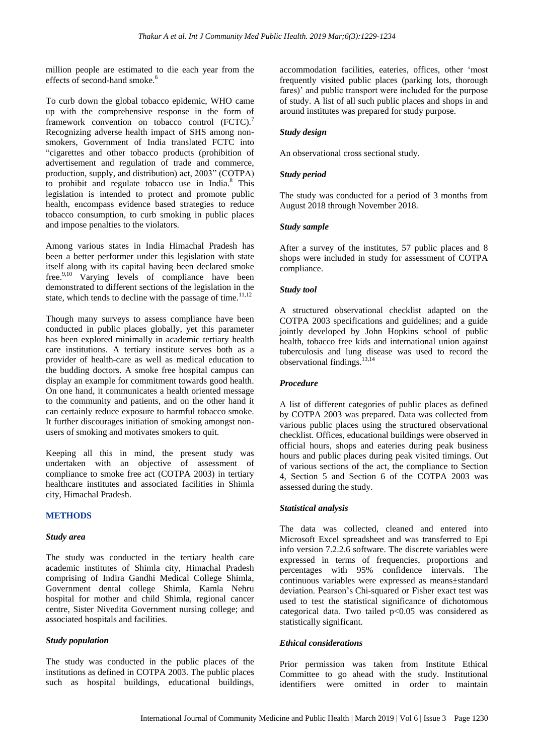million people are estimated to die each year from the effects of second-hand smoke.<sup>6</sup>

To curb down the global tobacco epidemic, WHO came up with the comprehensive response in the form of framework convention on tobacco control (FCTC).<sup>7</sup> Recognizing adverse health impact of SHS among nonsmokers, Government of India translated FCTC into "cigarettes and other tobacco products (prohibition of advertisement and regulation of trade and commerce, production, supply, and distribution) act, 2003" (COTPA) to prohibit and regulate tobacco use in India. $8$  This legislation is intended to protect and promote public health, encompass evidence based strategies to reduce tobacco consumption, to curb smoking in public places and impose penalties to the violators.

Among various states in India Himachal Pradesh has been a better performer under this legislation with state itself along with its capital having been declared smoke free.<sup>9,10</sup> Varying levels of compliance have been demonstrated to different sections of the legislation in the state, which tends to decline with the passage of time.<sup>11,12</sup>

Though many surveys to assess compliance have been conducted in public places globally, yet this parameter has been explored minimally in academic tertiary health care institutions. A tertiary institute serves both as a provider of health-care as well as medical education to the budding doctors. A smoke free hospital campus can display an example for commitment towards good health. On one hand, it communicates a health oriented message to the community and patients, and on the other hand it can certainly reduce exposure to harmful tobacco smoke. It further discourages initiation of smoking amongst nonusers of smoking and motivates smokers to quit.

Keeping all this in mind, the present study was undertaken with an objective of assessment of compliance to smoke free act (COTPA 2003) in tertiary healthcare institutes and associated facilities in Shimla city, Himachal Pradesh.

# **METHODS**

#### *Study area*

The study was conducted in the tertiary health care academic institutes of Shimla city, Himachal Pradesh comprising of Indira Gandhi Medical College Shimla, Government dental college Shimla, Kamla Nehru hospital for mother and child Shimla, regional cancer centre, Sister Nivedita Government nursing college; and associated hospitals and facilities.

#### *Study population*

The study was conducted in the public places of the institutions as defined in COTPA 2003. The public places such as hospital buildings, educational buildings, accommodation facilities, eateries, offices, other "most frequently visited public places (parking lots, thorough fares)' and public transport were included for the purpose of study. A list of all such public places and shops in and around institutes was prepared for study purpose.

#### *Study design*

An observational cross sectional study.

# *Study period*

The study was conducted for a period of 3 months from August 2018 through November 2018.

#### *Study sample*

After a survey of the institutes, 57 public places and 8 shops were included in study for assessment of COTPA compliance.

# *Study tool*

A structured observational checklist adapted on the COTPA 2003 specifications and guidelines; and a guide jointly developed by John Hopkins school of public health, tobacco free kids and international union against tuberculosis and lung disease was used to record the observational findings.13,14

# *Procedure*

A list of different categories of public places as defined by COTPA 2003 was prepared. Data was collected from various public places using the structured observational checklist. Offices, educational buildings were observed in official hours, shops and eateries during peak business hours and public places during peak visited timings. Out of various sections of the act, the compliance to Section 4, Section 5 and Section 6 of the COTPA 2003 was assessed during the study.

# *Statistical analysis*

The data was collected, cleaned and entered into Microsoft Excel spreadsheet and was transferred to Epi info version 7.2.2.6 software. The discrete variables were expressed in terms of frequencies, proportions and percentages with 95% confidence intervals. The continuous variables were expressed as means±standard deviation. Pearson"s Chi-squared or Fisher exact test was used to test the statistical significance of dichotomous categorical data. Two tailed  $p<0.05$  was considered as statistically significant.

# *Ethical considerations*

Prior permission was taken from Institute Ethical Committee to go ahead with the study. Institutional identifiers were omitted in order to maintain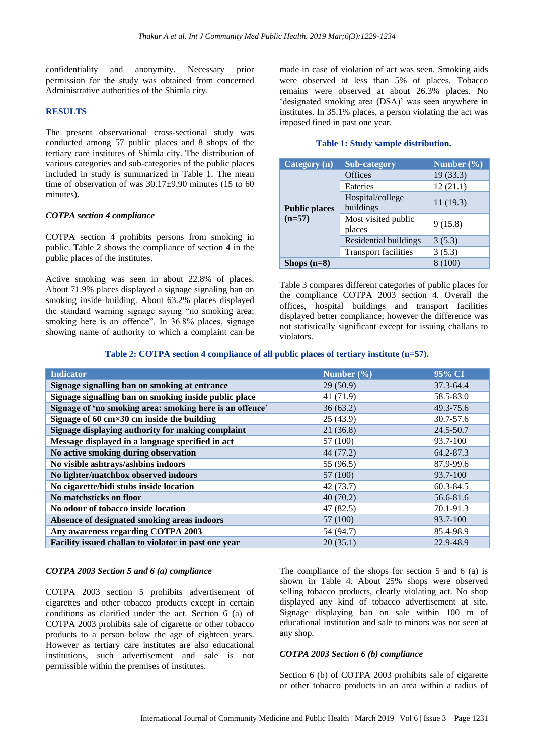confidentiality and anonymity. Necessary prior permission for the study was obtained from concerned Administrative authorities of the Shimla city.

# **RESULTS**

The present observational cross-sectional study was conducted among 57 public places and 8 shops of the tertiary care institutes of Shimla city. The distribution of various categories and sub-categories of the public places included in study is summarized in Table 1. The mean time of observation of was  $30.17\pm9.90$  minutes (15 to 60) minutes).

#### *COTPA section 4 compliance*

COTPA section 4 prohibits persons from smoking in public. Table 2 shows the compliance of section 4 in the public places of the institutes.

Active smoking was seen in about 22.8% of places. About 71.9% places displayed a signage signaling ban on smoking inside building. About 63.2% places displayed the standard warning signage saying "no smoking area: smoking here is an offence". In 36.8% places, signage showing name of authority to which a complaint can be made in case of violation of act was seen. Smoking aids were observed at less than 5% of places. Tobacco remains were observed at about 26.3% places. No 'designated smoking area (DSA)' was seen anywhere in institutes. In 35.1% places, a person violating the act was imposed fined in past one year.

# **Table 1: Study sample distribution.**

| Category (n)                     | <b>Sub-category</b>           | Number $(\% )$ |
|----------------------------------|-------------------------------|----------------|
| <b>Public places</b><br>$(n=57)$ | <b>Offices</b>                | 19(33.3)       |
|                                  | Eateries                      | 12(21.1)       |
|                                  | Hospital/college<br>buildings | 11(19.3)       |
|                                  | Most visited public<br>places | 9(15.8)        |
|                                  | Residential buildings         | 3(5.3)         |
|                                  | <b>Transport facilities</b>   | 3(5.3)         |
| Shops $(n=8)$                    |                               | (100)          |

Table 3 compares different categories of public places for the compliance COTPA 2003 section 4. Overall the offices, hospital buildings and transport facilities displayed better compliance; however the difference was not statistically significant except for issuing challans to violators.

#### **Table 2: COTPA section 4 compliance of all public places of tertiary institute (n=57).**

| <b>Indicator</b>                                                   | Number $(\% )$ | 95% CI    |
|--------------------------------------------------------------------|----------------|-----------|
| Signage signalling ban on smoking at entrance                      | 29(50.9)       | 37.3-64.4 |
| Signage signalling ban on smoking inside public place              | 41 (71.9)      | 58.5-83.0 |
| Signage of 'no smoking area: smoking here is an offence'           | 36(63.2)       | 49.3-75.6 |
| Signage of 60 $\text{cm} \times 30 \text{ cm}$ inside the building | 25(43.9)       | 30.7-57.6 |
| Signage displaying authority for making complaint                  | 21(36.8)       | 24.5-50.7 |
| Message displayed in a language specified in act                   | 57 (100)       | 93.7-100  |
| No active smoking during observation                               | 44 (77.2)      | 64.2-87.3 |
| No visible ashtrays/ashbins indoors                                | 55 (96.5)      | 87.9-99.6 |
| No lighter/matchbox observed indoors                               | 57 (100)       | 93.7-100  |
| No cigarette/bidi stubs inside location                            | 42(73.7)       | 60.3-84.5 |
| No matchsticks on floor                                            | 40(70.2)       | 56.6-81.6 |
| No odour of tobacco inside location                                | 47(82.5)       | 70.1-91.3 |
| Absence of designated smoking areas indoors                        | 57 (100)       | 93.7-100  |
| Any awareness regarding COTPA 2003                                 | 54 (94.7)      | 85.4-98.9 |
| Facility issued challan to violator in past one year               | 20(35.1)       | 22.9-48.9 |

#### *COTPA 2003 Section 5 and 6 (a) compliance*

COTPA 2003 section 5 prohibits advertisement of cigarettes and other tobacco products except in certain conditions as clarified under the act. Section 6 (a) of COTPA 2003 prohibits sale of cigarette or other tobacco products to a person below the age of eighteen years. However as tertiary care institutes are also educational institutions, such advertisement and sale is not permissible within the premises of institutes.

The compliance of the shops for section 5 and 6 (a) is shown in Table 4*.* About 25% shops were observed selling tobacco products, clearly violating act. No shop displayed any kind of tobacco advertisement at site. Signage displaying ban on sale within 100 m of educational institution and sale to minors was not seen at any shop.

#### *COTPA 2003 Section 6 (b) compliance*

Section 6 (b) of COTPA 2003 prohibits sale of cigarette or other tobacco products in an area within a radius of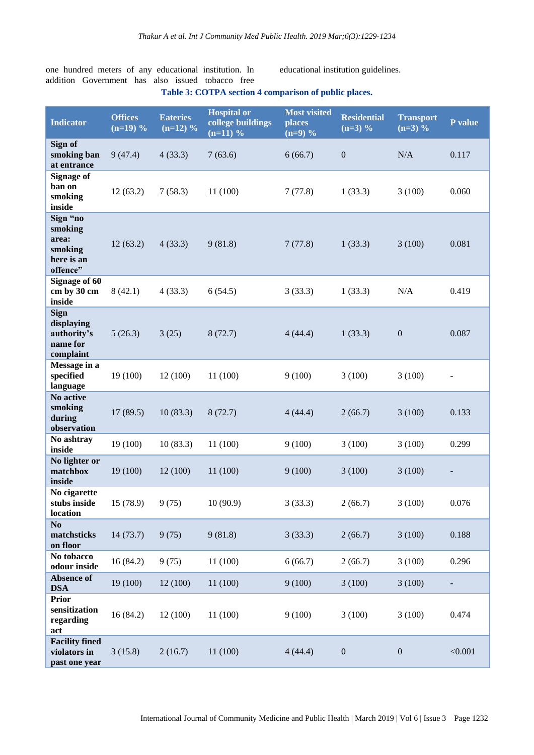one hundred meters of any educational institution. In addition Government has also issued tobacco free

educational institution guidelines.

| <b>Indicator</b>                                                  | <b>Offices</b><br>$(n=19)$ % | <b>Eateries</b><br>$(n=12)$ % | <b>Hospital or</b><br>college buildings<br>$(n=11)$ % | <b>Most visited</b><br>places<br>$(n=9)$ % | <b>Residential</b><br>$(n=3)$ % | <b>Transport</b><br>$(n=3)$ % | P value |
|-------------------------------------------------------------------|------------------------------|-------------------------------|-------------------------------------------------------|--------------------------------------------|---------------------------------|-------------------------------|---------|
| Sign of<br>smoking ban<br>at entrance                             | 9(47.4)                      | 4(33.3)                       | 7(63.6)                                               | 6(66.7)                                    | $\mathbf{0}$                    | N/A                           | 0.117   |
| <b>Signage of</b><br>ban on<br>smoking<br>inside                  | 12(63.2)                     | 7(58.3)                       | 11(100)                                               | 7(77.8)                                    | 1(33.3)                         | 3(100)                        | 0.060   |
| Sign "no<br>smoking<br>area:<br>smoking<br>here is an<br>offence" | 12(63.2)                     | 4(33.3)                       | 9(81.8)                                               | 7(77.8)                                    | 1(33.3)                         | 3(100)                        | 0.081   |
| <b>Signage of 60</b><br>cm by 30 cm<br>inside                     | 8(42.1)                      | 4(33.3)                       | 6(54.5)                                               | 3(33.3)                                    | 1(33.3)                         | N/A                           | 0.419   |
| <b>Sign</b><br>displaying<br>authority's<br>name for<br>complaint | 5(26.3)                      | 3(25)                         | 8(72.7)                                               | 4(44.4)                                    | 1(33.3)                         | $\boldsymbol{0}$              | 0.087   |
| Message in a<br>specified<br>language                             | 19 (100)                     | 12(100)                       | 11(100)                                               | 9(100)                                     | 3(100)                          | 3(100)                        |         |
| No active<br>smoking<br>during<br>observation                     | 17(89.5)                     | 10(83.3)                      | 8(72.7)                                               | 4(44.4)                                    | 2(66.7)                         | 3(100)                        | 0.133   |
| No ashtray<br>inside                                              | 19 (100)                     | 10(83.3)                      | 11(100)                                               | 9(100)                                     | 3(100)                          | 3(100)                        | 0.299   |
| No lighter or<br>matchbox<br>inside                               | 19 (100)                     | 12(100)                       | 11(100)                                               | 9(100)                                     | 3(100)                          | 3(100)                        |         |
| No cigarette<br>stubs inside<br>location                          | 15 (78.9)                    | 9(75)                         | 10(90.9)                                              | 3(33.3)                                    | 2(66.7)                         | 3(100)                        | 0.076   |
| N <sub>0</sub><br>matchsticks<br>on floor                         | 14(73.7)                     | 9(75)                         | 9(81.8)                                               | 3(33.3)                                    | 2(66.7)                         | 3(100)                        | 0.188   |
| No tobacco<br>odour inside                                        | 16(84.2)                     | 9(75)                         | 11(100)                                               | 6(66.7)                                    | 2(66.7)                         | 3(100)                        | 0.296   |
| <b>Absence of</b><br><b>DSA</b>                                   | 19 (100)                     | 12(100)                       | 11(100)                                               | 9(100)                                     | 3(100)                          | 3(100)                        |         |
| <b>Prior</b><br>sensitization<br>regarding<br>act                 | 16(84.2)                     | 12(100)                       | 11 (100)                                              | 9(100)                                     | 3(100)                          | 3(100)                        | 0.474   |
| <b>Facility fined</b><br>violators in<br>past one year            | 3(15.8)                      | 2(16.7)                       | 11(100)                                               | 4(44.4)                                    | $\boldsymbol{0}$                | $\boldsymbol{0}$              | < 0.001 |

# **Table 3: COTPA section 4 comparison of public places.**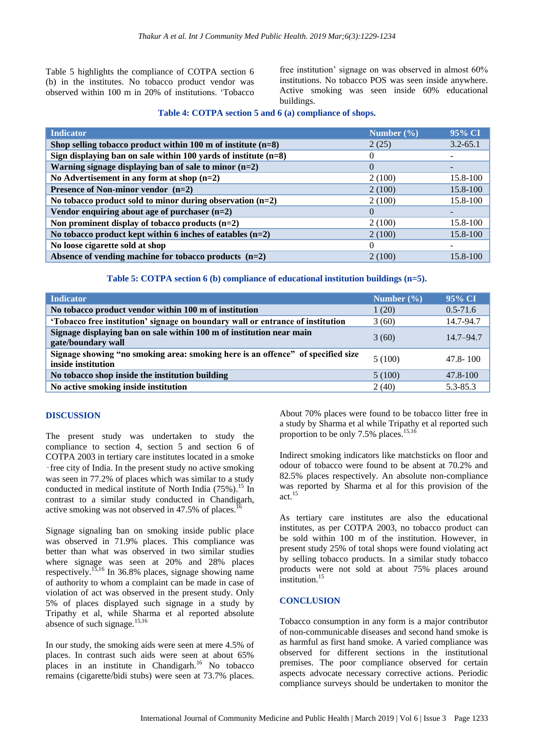Table 5 highlights the compliance of COTPA section 6 (b) in the institutes. No tobacco product vendor was observed within 100 m in 20% of institutions. "Tobacco free institution" signage on was observed in almost 60% institutions. No tobacco POS was seen inside anywhere. Active smoking was seen inside 60% educational buildings.

#### **Table 4: COTPA section 5 and 6 (a) compliance of shops.**

| <b>Indicator</b>                                                         | Number $(\% )$ | 95% CI       |
|--------------------------------------------------------------------------|----------------|--------------|
| Shop selling tobacco product within $100 \text{ m}$ of institute $(n=8)$ | 2(25)          | $3.2 - 65.1$ |
| Sign displaying ban on sale within 100 yards of institute $(n=8)$        | $\theta$       |              |
| Warning signage displaying ban of sale to minor $(n=2)$                  | $\mathbf{0}$   |              |
| No Advertisement in any form at shop $(n=2)$                             | 2(100)         | 15.8-100     |
| <b>Presence of Non-minor vendor</b> $(n=2)$                              | 2(100)         | 15.8-100     |
| No tobacco product sold to minor during observation $(n=2)$              | 2(100)         | 15.8-100     |
| Vendor enquiring about age of purchaser $(n=2)$                          | $\Omega$       |              |
| Non prominent display of tobacco products $(n=2)$                        | 2(100)         | 15.8-100     |
| No tobacco product kept within 6 inches of eatables $(n=2)$              | 2(100)         | 15.8-100     |
| No loose cigarette sold at shop                                          |                |              |
| Absence of vending machine for tobacco products $(n=2)$                  | 2(100)         | 15.8-100     |

# **Table 5: COTPA section 6 (b) compliance of educational institution buildings (n=5).**

| <b>Indicator</b>                                                                                      | Number $(\% )$ | 95% CI        |
|-------------------------------------------------------------------------------------------------------|----------------|---------------|
| No tobacco product vendor within 100 m of institution                                                 | 1(20)          | $0.5 - 71.6$  |
| 'Tobacco free institution' signage on boundary wall or entrance of institution                        | 3(60)          | 14.7-94.7     |
| Signage displaying ban on sale within 100 m of institution near main<br>gate/boundary wall            | 3(60)          | $14.7 - 94.7$ |
| Signage showing "no smoking area: smoking here is an offence" of specified size<br>inside institution | 5(100)         | $47.8 - 100$  |
| No tobacco shop inside the institution building                                                       | 5(100)         | $47.8 - 100$  |
| No active smoking inside institution                                                                  | 2(40)          | $5.3 - 85.3$  |

#### **DISCUSSION**

The present study was undertaken to study the compliance to section 4, section 5 and section 6 of COTPA 2003 in tertiary care institutes located in a smoke ‑free city of India. In the present study no active smoking was seen in 77.2% of places which was similar to a study conducted in medical institute of North India (75%). <sup>15</sup> In contrast to a similar study conducted in Chandigarh, active smoking was not observed in 47.5% of places.<sup>16</sup>

Signage signaling ban on smoking inside public place was observed in 71.9% places. This compliance was better than what was observed in two similar studies where signage was seen at 20% and 28% places respectively.15,16 In 36.8% places, signage showing name of authority to whom a complaint can be made in case of violation of act was observed in the present study. Only 5% of places displayed such signage in a study by Tripathy et al, while Sharma et al reported absolute absence of such signage.<sup>15,16</sup>

In our study, the smoking aids were seen at mere 4.5% of places. In contrast such aids were seen at about 65% places in an institute in Chandigarh.<sup>16</sup> No tobacco remains (cigarette/bidi stubs) were seen at 73.7% places.

About 70% places were found to be tobacco litter free in a study by Sharma et al while Tripathy et al reported such proportion to be only 7.5% places.<sup>15,16</sup>

Indirect smoking indicators like matchsticks on floor and odour of tobacco were found to be absent at 70.2% and 82.5% places respectively. An absolute non-compliance was reported by Sharma et al for this provision of the act. $15$ 

As tertiary care institutes are also the educational institutes, as per COTPA 2003, no tobacco product can be sold within 100 m of the institution. However, in present study 25% of total shops were found violating act by selling tobacco products. In a similar study tobacco products were not sold at about 75% places around institution.<sup>15</sup>

#### **CONCLUSION**

Tobacco consumption in any form is a major contributor of non-communicable diseases and second hand smoke is as harmful as first hand smoke. A varied compliance was observed for different sections in the institutional premises. The poor compliance observed for certain aspects advocate necessary corrective actions. Periodic compliance surveys should be undertaken to monitor the